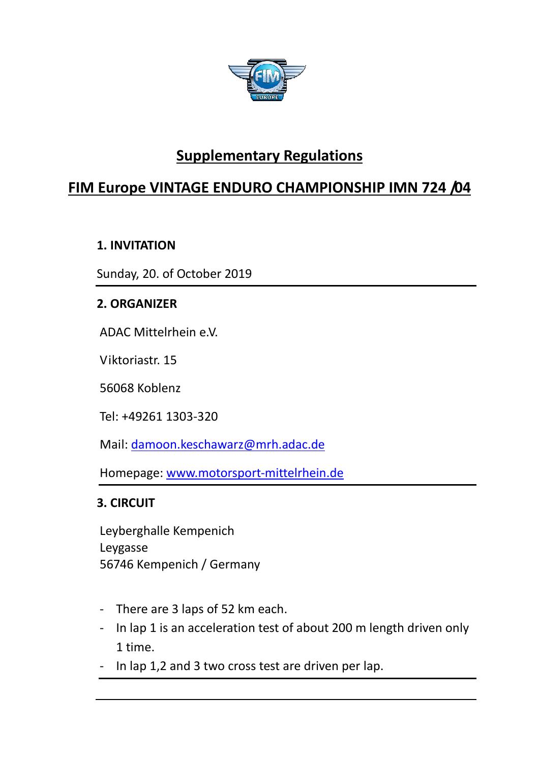

# **Supplementary Regulations**

## **FIM Europe VINTAGE ENDURO CHAMPIONSHIP IMN 724 /04**

## **1. INVITATION**

Sunday, 20. of October 2019

## **2. ORGANIZER**

ADAC Mittelrhein e.V.

Viktoriastr. 15

56068 Koblenz

Tel: +49261 1303-320

Mail: damoon.keschawarz@mrh.adac.de

Homepage: www.motorsport-mittelrhein.de

## **3. CIRCUIT**

Leyberghalle Kempenich Leygasse 56746 Kempenich / Germany

- There are 3 laps of 52 km each.
- In lap 1 is an acceleration test of about 200 m length driven only 1 time.
- In lap 1,2 and 3 two cross test are driven per lap.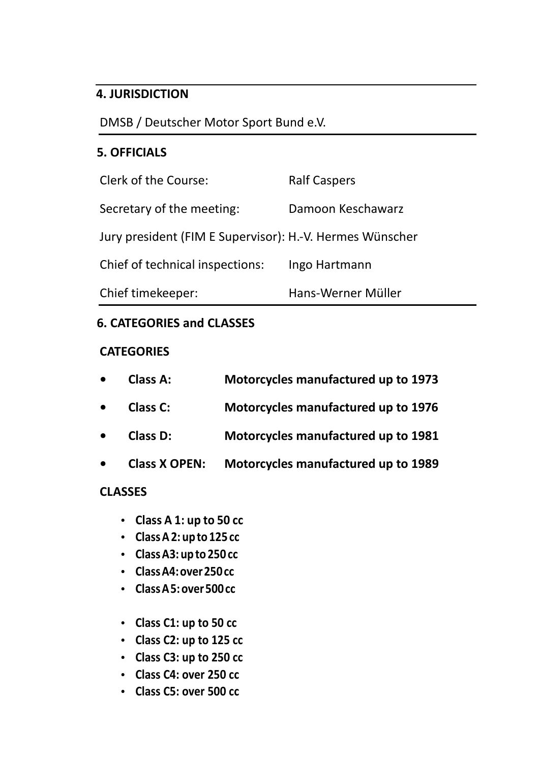#### **4. JURISDICTION**

DMSB / Deutscher Motor Sport Bund e.V.

#### **5. OFFICIALS**

| <b>Clerk of the Course:</b>                              | <b>Ralf Caspers</b> |  |
|----------------------------------------------------------|---------------------|--|
| Secretary of the meeting:                                | Damoon Keschawarz   |  |
| Jury president (FIM E Supervisor): H.-V. Hermes Wünscher |                     |  |
| Chief of technical inspections:                          | Ingo Hartmann       |  |
| Chief timekeeper:                                        | Hans-Werner Müller  |  |

## **6. CATEGORIES and CLASSES**

#### **CATEGORIES**

| $\bullet$ | Class A:             | Motorcycles manufactured up to 1973 |
|-----------|----------------------|-------------------------------------|
| $\bullet$ | <b>Class C:</b>      | Motorcycles manufactured up to 1976 |
| $\bullet$ | <b>Class D:</b>      | Motorcycles manufactured up to 1981 |
| $\bullet$ | <b>Class X OPEN:</b> | Motorcycles manufactured up to 1989 |

## **CLASSES**

- **Class A 1: up to 50 cc**
- **Class A 2: up to 125 cc**
- **Class A3: up to 250 cc**
- **Class A4: over 250 cc**
- **Class A 5: over 500 cc**
- **Class C1: up to 50 cc**
- **Class C2: up to 125 cc**
- **Class C3: up to 250 cc**
- **Class C4: over 250 cc**
- **Class C5: over 500 cc**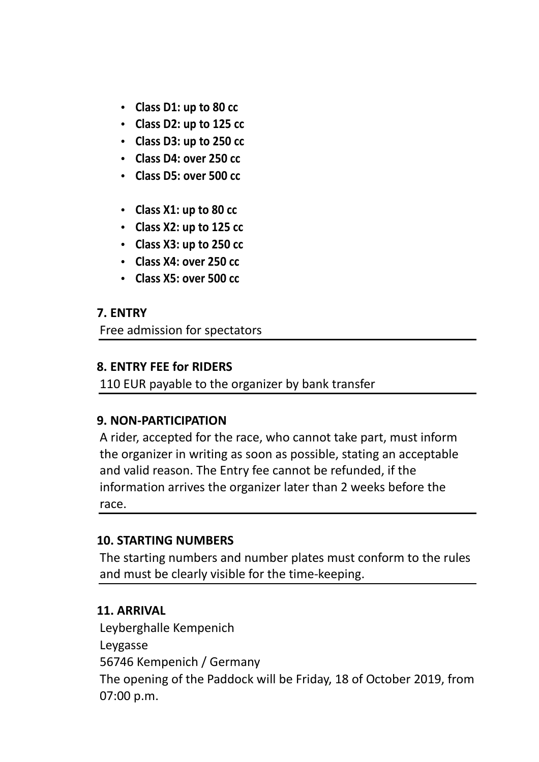- **Class D1: up to 80 cc**
- **Class D2: up to 125 cc**
- **Class D3: up to 250 cc**
- **Class D4: over 250 cc**
- **Class D5: over 500 cc**
- **Class X1: up to 80 cc**
- **Class X2: up to 125 cc**
- **Class X3: up to 250 cc**
- **Class X4: over 250 cc**
- **Class X5: over 500 cc**

#### **7. ENTRY**

Free admission for spectators

#### **8. ENTRY FEE for RIDERS**

110 EUR payable to the organizer by bank transfer

## **9. NON-PARTICIPATION**

A rider, accepted for the race, who cannot take part, must inform the organizer in writing as soon as possible, stating an acceptable and valid reason. The Entry fee cannot be refunded, if the information arrives the organizer later than 2 weeks before the race.

#### **10. STARTING NUMBERS**

The starting numbers and number plates must conform to the rules and must be clearly visible for the time-keeping.

## **11. ARRIVAL**

Leyberghalle Kempenich Leygasse 56746 Kempenich / Germany The opening of the Paddock will be Friday, 18 of October 2019, from 07:00 p.m.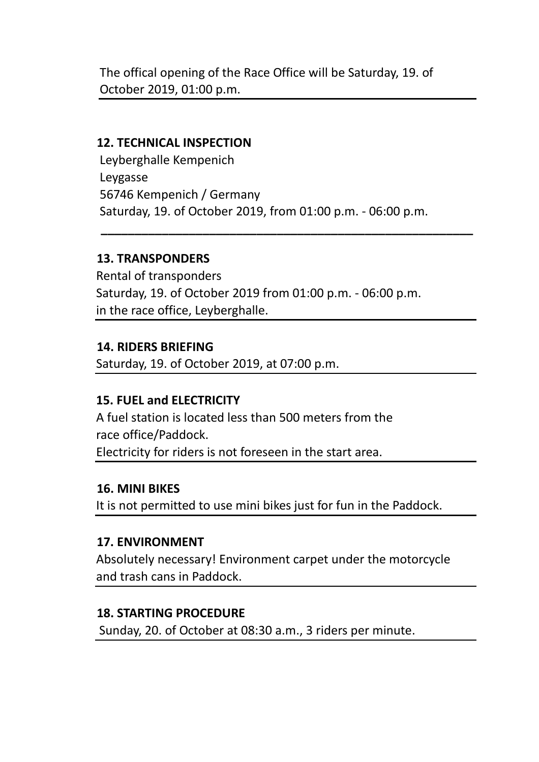The offical opening of the Race Office will be Saturday, 19. of October 2019, 01:00 p.m.

#### **12. TECHNICAL INSPECTION**

Leyberghalle Kempenich Leygasse 56746 Kempenich / Germany Saturday, 19. of October 2019, from 01:00 p.m. - 06:00 p.m.

 **\_\_\_\_\_\_\_\_\_\_\_\_\_\_\_\_\_\_\_\_\_\_\_\_\_\_\_\_\_\_\_\_\_\_\_\_\_\_\_\_\_\_\_\_\_\_\_\_\_\_\_\_\_\_\_**

## **13. TRANSPONDERS**

Rental of transponders Saturday, 19. of October 2019 from 01:00 p.m. - 06:00 p.m. in the race office, Leyberghalle.

## **14. RIDERS BRIEFING**

Saturday, 19. of October 2019, at 07:00 p.m.

## **15. FUEL and ELECTRICITY**

A fuel station is located less than 500 meters from the race office/Paddock. Electricity for riders is not foreseen in the start area.

#### **16. MINI BIKES**

It is not permitted to use mini bikes just for fun in the Paddock.

## **17. ENVIRONMENT**

Absolutely necessary! Environment carpet under the motorcycle and trash cans in Paddock.

## **18. STARTING PROCEDURE**

Sunday, 20. of October at 08:30 a.m., 3 riders per minute.